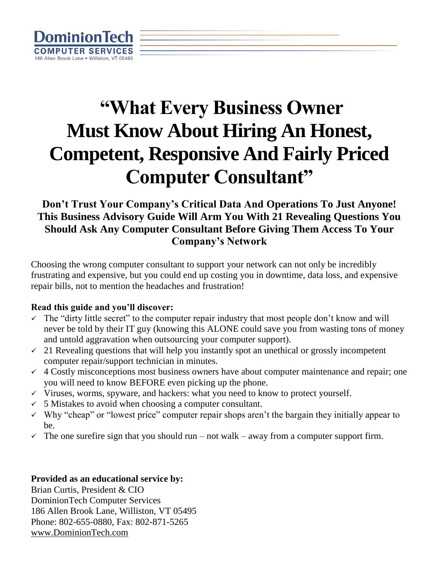

# **"What Every Business Owner Must Know About Hiring An Honest, Competent, Responsive And Fairly Priced Computer Consultant"**

### **Don't Trust Your Company's Critical Data And Operations To Just Anyone! This Business Advisory Guide Will Arm You With 21 Revealing Questions You Should Ask Any Computer Consultant Before Giving Them Access To Your Company's Network**

Choosing the wrong computer consultant to support your network can not only be incredibly frustrating and expensive, but you could end up costing you in downtime, data loss, and expensive repair bills, not to mention the headaches and frustration!

#### **Read this guide and you'll discover:**

- ✓ The "dirty little secret" to the computer repair industry that most people don't know and will never be told by their IT guy (knowing this ALONE could save you from wasting tons of money and untold aggravation when outsourcing your computer support).
- $\sim$  21 Revealing questions that will help you instantly spot an unethical or grossly incompetent computer repair/support technician in minutes.
- $\checkmark$  4 Costly misconceptions most business owners have about computer maintenance and repair; one you will need to know BEFORE even picking up the phone.
- ✓ Viruses, worms, spyware, and hackers: what you need to know to protect yourself.
- $\checkmark$  5 Mistakes to avoid when choosing a computer consultant.
- $\checkmark$  Why "cheap" or "lowest price" computer repair shops aren't the bargain they initially appear to be.
- $\checkmark$  The one surefire sign that you should run not walk away from a computer support firm.

#### **Provided as an educational service by:**

Brian Curtis, President & CIO DominionTech Computer Services 186 Allen Brook Lane, Williston, VT 05495 Phone: 802-655-0880, Fax: 802-871-5265 [www.DominionTech.com](http://www.dominiontech.com/)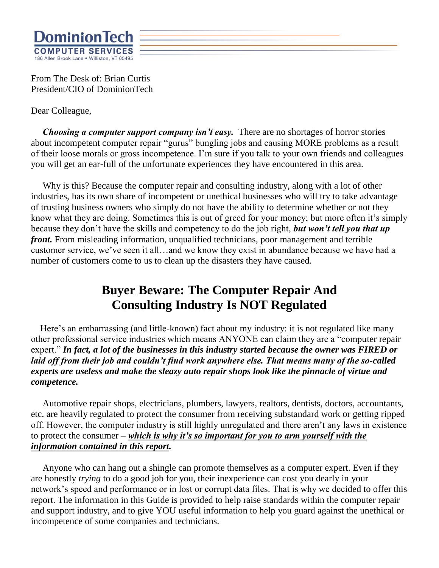

From The Desk of: Brian Curtis President/CIO of DominionTech

Dear Colleague,

*Choosing a computer support company isn't easy.* There are no shortages of horror stories about incompetent computer repair "gurus" bungling jobs and causing MORE problems as a result of their loose morals or gross incompetence. I'm sure if you talk to your own friends and colleagues you will get an ear-full of the unfortunate experiences they have encountered in this area.

 Why is this? Because the computer repair and consulting industry, along with a lot of other industries, has its own share of incompetent or unethical businesses who will try to take advantage of trusting business owners who simply do not have the ability to determine whether or not they know what they are doing. Sometimes this is out of greed for your money; but more often it's simply because they don't have the skills and competency to do the job right, *but won't tell you that up front.* From misleading information, unqualified technicians, poor management and terrible customer service, we've seen it all…and we know they exist in abundance because we have had a number of customers come to us to clean up the disasters they have caused.

# **Buyer Beware: The Computer Repair And Consulting Industry Is NOT Regulated**

 Here's an embarrassing (and little-known) fact about my industry: it is not regulated like many other professional service industries which means ANYONE can claim they are a "computer repair expert." *In fact, a lot of the businesses in this industry started because the owner was FIRED or laid off from their job and couldn't find work anywhere else. That means many of the so-called experts are useless and make the sleazy auto repair shops look like the pinnacle of virtue and competence.*

Automotive repair shops, electricians, plumbers, lawyers, realtors, dentists, doctors, accountants, etc. are heavily regulated to protect the consumer from receiving substandard work or getting ripped off. However, the computer industry is still highly unregulated and there aren't any laws in existence to protect the consumer – *which is why it's so important for you to arm yourself with the information contained in this report.*

 Anyone who can hang out a shingle can promote themselves as a computer expert. Even if they are honestly *trying* to do a good job for you, their inexperience can cost you dearly in your network's speed and performance or in lost or corrupt data files. That is why we decided to offer this report. The information in this Guide is provided to help raise standards within the computer repair and support industry, and to give YOU useful information to help you guard against the unethical or incompetence of some companies and technicians.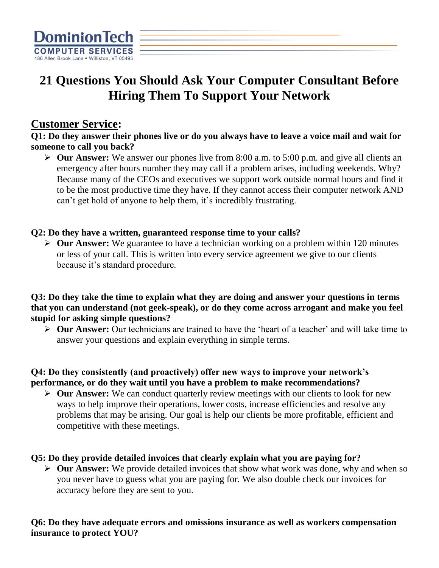

# **21 Questions You Should Ask Your Computer Consultant Before Hiring Them To Support Your Network**

### **Customer Service:**

**Q1: Do they answer their phones live or do you always have to leave a voice mail and wait for someone to call you back?** 

➢ **Our Answer:** We answer our phones live from 8:00 a.m. to 5:00 p.m. and give all clients an emergency after hours number they may call if a problem arises, including weekends. Why? Because many of the CEOs and executives we support work outside normal hours and find it to be the most productive time they have. If they cannot access their computer network AND can't get hold of anyone to help them, it's incredibly frustrating.

#### **Q2: Do they have a written, guaranteed response time to your calls?**

➢ **Our Answer:** We guarantee to have a technician working on a problem within 120 minutes or less of your call. This is written into every service agreement we give to our clients because it's standard procedure.

**Q3: Do they take the time to explain what they are doing and answer your questions in terms that you can understand (not geek-speak), or do they come across arrogant and make you feel stupid for asking simple questions?**

➢ **Our Answer:** Our technicians are trained to have the 'heart of a teacher' and will take time to answer your questions and explain everything in simple terms.

#### **Q4: Do they consistently (and proactively) offer new ways to improve your network's performance, or do they wait until you have a problem to make recommendations?**

➢ **Our Answer:** We can conduct quarterly review meetings with our clients to look for new ways to help improve their operations, lower costs, increase efficiencies and resolve any problems that may be arising. Our goal is help our clients be more profitable, efficient and competitive with these meetings.

#### **Q5: Do they provide detailed invoices that clearly explain what you are paying for?**

➢ **Our Answer:** We provide detailed invoices that show what work was done, why and when so you never have to guess what you are paying for. We also double check our invoices for accuracy before they are sent to you.

#### **Q6: Do they have adequate errors and omissions insurance as well as workers compensation insurance to protect YOU?**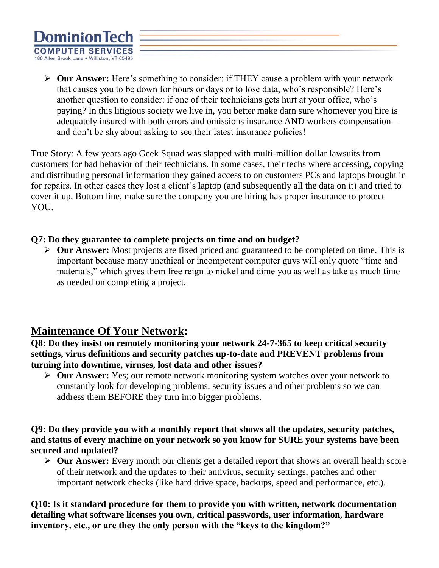

➢ **Our Answer:** Here's something to consider: if THEY cause a problem with your network that causes you to be down for hours or days or to lose data, who's responsible? Here's another question to consider: if one of their technicians gets hurt at your office, who's paying? In this litigious society we live in, you better make darn sure whomever you hire is adequately insured with both errors and omissions insurance AND workers compensation – and don't be shy about asking to see their latest insurance policies!

True Story: A few years ago Geek Squad was slapped with multi-million dollar lawsuits from customers for bad behavior of their technicians. In some cases, their techs where accessing, copying and distributing personal information they gained access to on customers PCs and laptops brought in for repairs. In other cases they lost a client's laptop (and subsequently all the data on it) and tried to cover it up. Bottom line, make sure the company you are hiring has proper insurance to protect YOU.

#### **Q7: Do they guarantee to complete projects on time and on budget?**

➢ **Our Answer:** Most projects are fixed priced and guaranteed to be completed on time. This is important because many unethical or incompetent computer guys will only quote "time and materials," which gives them free reign to nickel and dime you as well as take as much time as needed on completing a project.

### **Maintenance Of Your Network:**

#### **Q8: Do they insist on remotely monitoring your network 24-7-365 to keep critical security settings, virus definitions and security patches up-to-date and PREVENT problems from turning into downtime, viruses, lost data and other issues?**

➢ **Our Answer:** Yes; our remote network monitoring system watches over your network to constantly look for developing problems, security issues and other problems so we can address them BEFORE they turn into bigger problems.

**Q9: Do they provide you with a monthly report that shows all the updates, security patches, and status of every machine on your network so you know for SURE your systems have been secured and updated?**

➢ **Our Answer:** Every month our clients get a detailed report that shows an overall health score of their network and the updates to their antivirus, security settings, patches and other important network checks (like hard drive space, backups, speed and performance, etc.).

**Q10: Is it standard procedure for them to provide you with written, network documentation detailing what software licenses you own, critical passwords, user information, hardware inventory, etc., or are they the only person with the "keys to the kingdom?"**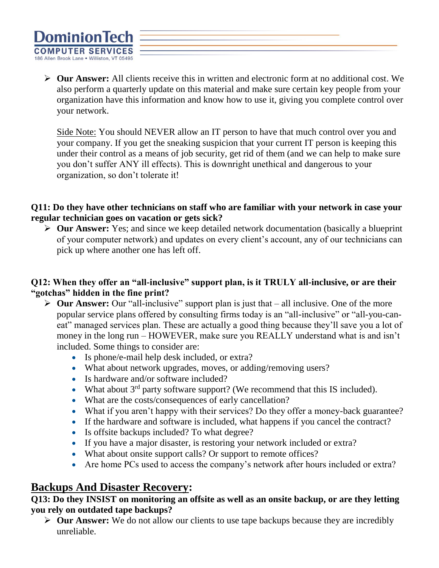

➢ **Our Answer:** All clients receive this in written and electronic form at no additional cost. We also perform a quarterly update on this material and make sure certain key people from your organization have this information and know how to use it, giving you complete control over your network.

Side Note: You should NEVER allow an IT person to have that much control over you and your company. If you get the sneaking suspicion that your current IT person is keeping this under their control as a means of job security, get rid of them (and we can help to make sure you don't suffer ANY ill effects). This is downright unethical and dangerous to your organization, so don't tolerate it!

#### **Q11: Do they have other technicians on staff who are familiar with your network in case your regular technician goes on vacation or gets sick?**

➢ **Our Answer:** Yes; and since we keep detailed network documentation (basically a blueprint of your computer network) and updates on every client's account, any of our technicians can pick up where another one has left off.

#### **Q12: When they offer an "all-inclusive" support plan, is it TRULY all-inclusive, or are their "gotchas" hidden in the fine print?**

- ➢ **Our Answer:** Our "all-inclusive" support plan is just that all inclusive. One of the more popular service plans offered by consulting firms today is an "all-inclusive" or "all-you-caneat" managed services plan. These are actually a good thing because they'll save you a lot of money in the long run – HOWEVER, make sure you REALLY understand what is and isn't included. Some things to consider are:
	- Is phone/e-mail help desk included, or extra?
	- What about network upgrades, moves, or adding/removing users?
	- Is hardware and/or software included?
	- What about  $3^{rd}$  party software support? (We recommend that this IS included).
	- What are the costs/consequences of early cancellation?
	- What if you aren't happy with their services? Do they offer a money-back guarantee?
	- If the hardware and software is included, what happens if you cancel the contract?
	- Is offsite backups included? To what degree?
	- If you have a major disaster, is restoring your network included or extra?
	- What about onsite support calls? Or support to remote offices?
	- Are home PCs used to access the company's network after hours included or extra?

# **Backups And Disaster Recovery:**

#### **Q13: Do they INSIST on monitoring an offsite as well as an onsite backup, or are they letting you rely on outdated tape backups?**

➢ **Our Answer:** We do not allow our clients to use tape backups because they are incredibly unreliable.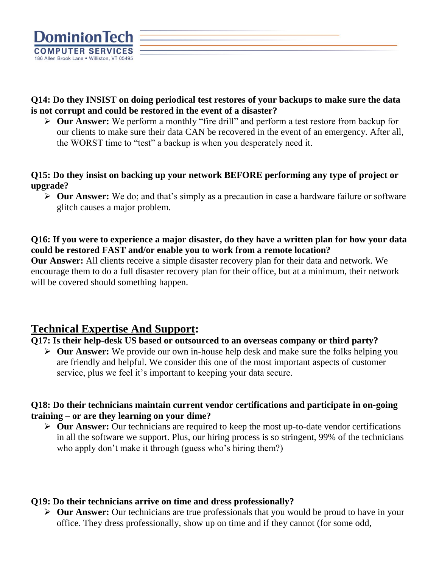

**Q14: Do they INSIST on doing periodical test restores of your backups to make sure the data is not corrupt and could be restored in the event of a disaster?**

➢ **Our Answer:** We perform a monthly "fire drill" and perform a test restore from backup for our clients to make sure their data CAN be recovered in the event of an emergency. After all, the WORST time to "test" a backup is when you desperately need it.

**Q15: Do they insist on backing up your network BEFORE performing any type of project or upgrade?**

➢ **Our Answer:** We do; and that's simply as a precaution in case a hardware failure or software glitch causes a major problem.

**Q16: If you were to experience a major disaster, do they have a written plan for how your data could be restored FAST and/or enable you to work from a remote location?**

**Our Answer:** All clients receive a simple disaster recovery plan for their data and network. We encourage them to do a full disaster recovery plan for their office, but at a minimum, their network will be covered should something happen.

# **Technical Expertise And Support:**

#### **Q17: Is their help-desk US based or outsourced to an overseas company or third party?**

➢ **Our Answer:** We provide our own in-house help desk and make sure the folks helping you are friendly and helpful. We consider this one of the most important aspects of customer service, plus we feel it's important to keeping your data secure.

#### **Q18: Do their technicians maintain current vendor certifications and participate in on-going training – or are they learning on your dime?**

➢ **Our Answer:** Our technicians are required to keep the most up-to-date vendor certifications in all the software we support. Plus, our hiring process is so stringent, 99% of the technicians who apply don't make it through (guess who's hiring them?)

#### **Q19: Do their technicians arrive on time and dress professionally?**

➢ **Our Answer:** Our technicians are true professionals that you would be proud to have in your office. They dress professionally, show up on time and if they cannot (for some odd,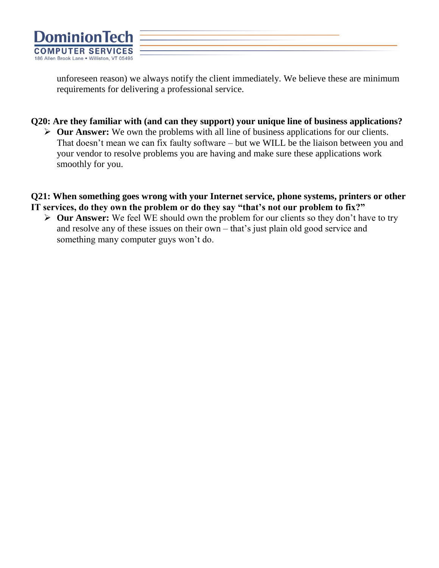

unforeseen reason) we always notify the client immediately. We believe these are minimum requirements for delivering a professional service.

#### **Q20: Are they familiar with (and can they support) your unique line of business applications?**

➢ **Our Answer:** We own the problems with all line of business applications for our clients. That doesn't mean we can fix faulty software – but we WILL be the liaison between you and your vendor to resolve problems you are having and make sure these applications work smoothly for you.

#### **Q21: When something goes wrong with your Internet service, phone systems, printers or other IT services, do they own the problem or do they say "that's not our problem to fix?"**

➢ **Our Answer:** We feel WE should own the problem for our clients so they don't have to try and resolve any of these issues on their own – that's just plain old good service and something many computer guys won't do.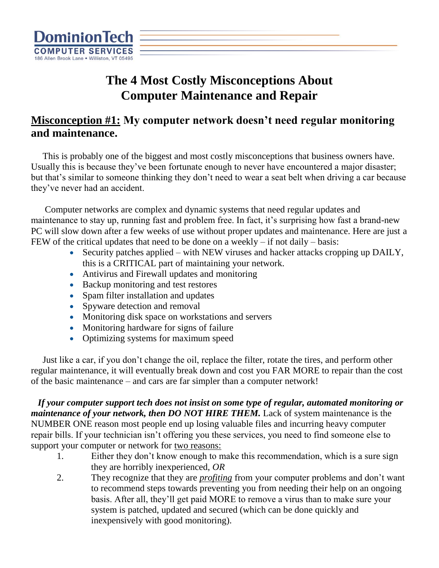

# **The 4 Most Costly Misconceptions About Computer Maintenance and Repair**

# **Misconception #1: My computer network doesn't need regular monitoring and maintenance.**

 This is probably one of the biggest and most costly misconceptions that business owners have. Usually this is because they've been fortunate enough to never have encountered a major disaster; but that's similar to someone thinking they don't need to wear a seat belt when driving a car because they've never had an accident.

 Computer networks are complex and dynamic systems that need regular updates and maintenance to stay up, running fast and problem free. In fact, it's surprising how fast a brand-new PC will slow down after a few weeks of use without proper updates and maintenance. Here are just a FEW of the critical updates that need to be done on a weekly  $-$  if not daily  $-$  basis:

- Security patches applied with NEW viruses and hacker attacks cropping up DAILY, this is a CRITICAL part of maintaining your network.
- Antivirus and Firewall updates and monitoring
- Backup monitoring and test restores
- Spam filter installation and updates
- Spyware detection and removal
- Monitoring disk space on workstations and servers
- Monitoring hardware for signs of failure
- Optimizing systems for maximum speed

 Just like a car, if you don't change the oil, replace the filter, rotate the tires, and perform other regular maintenance, it will eventually break down and cost you FAR MORE to repair than the cost of the basic maintenance – and cars are far simpler than a computer network!

 *If your computer support tech does not insist on some type of regular, automated monitoring or maintenance of your network, then DO NOT HIRE THEM.* Lack of system maintenance is the NUMBER ONE reason most people end up losing valuable files and incurring heavy computer repair bills. If your technician isn't offering you these services, you need to find someone else to support your computer or network for two reasons:

- 1. Either they don't know enough to make this recommendation, which is a sure sign they are horribly inexperienced, *OR*
- 2. They recognize that they are *profiting* from your computer problems and don't want to recommend steps towards preventing you from needing their help on an ongoing basis. After all, they'll get paid MORE to remove a virus than to make sure your system is patched, updated and secured (which can be done quickly and inexpensively with good monitoring).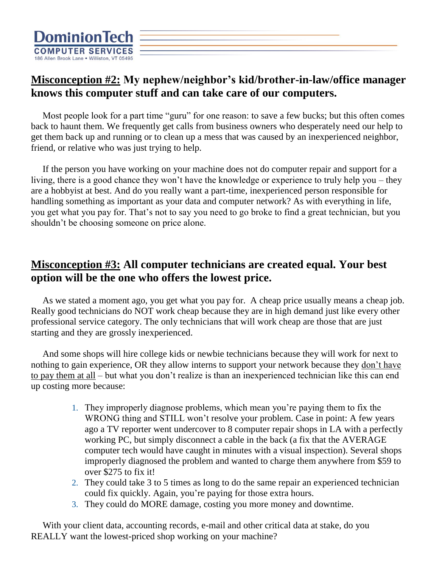

# **Misconception #2: My nephew/neighbor's kid/brother-in-law/office manager knows this computer stuff and can take care of our computers.**

 Most people look for a part time "guru" for one reason: to save a few bucks; but this often comes back to haunt them. We frequently get calls from business owners who desperately need our help to get them back up and running or to clean up a mess that was caused by an inexperienced neighbor, friend, or relative who was just trying to help.

 If the person you have working on your machine does not do computer repair and support for a living, there is a good chance they won't have the knowledge or experience to truly help you – they are a hobbyist at best. And do you really want a part-time, inexperienced person responsible for handling something as important as your data and computer network? As with everything in life, you get what you pay for. That's not to say you need to go broke to find a great technician, but you shouldn't be choosing someone on price alone.

### **Misconception #3: All computer technicians are created equal. Your best option will be the one who offers the lowest price.**

 As we stated a moment ago, you get what you pay for. A cheap price usually means a cheap job. Really good technicians do NOT work cheap because they are in high demand just like every other professional service category. The only technicians that will work cheap are those that are just starting and they are grossly inexperienced.

 And some shops will hire college kids or newbie technicians because they will work for next to nothing to gain experience, OR they allow interns to support your network because they don't have to pay them at all – but what you don't realize is than an inexperienced technician like this can end up costing more because:

- 1. They improperly diagnose problems, which mean you're paying them to fix the WRONG thing and STILL won't resolve your problem. Case in point: A few years ago a TV reporter went undercover to 8 computer repair shops in LA with a perfectly working PC, but simply disconnect a cable in the back (a fix that the AVERAGE computer tech would have caught in minutes with a visual inspection). Several shops improperly diagnosed the problem and wanted to charge them anywhere from \$59 to over \$275 to fix it!
- 2. They could take 3 to 5 times as long to do the same repair an experienced technician could fix quickly. Again, you're paying for those extra hours.
- 3. They could do MORE damage, costing you more money and downtime.

With your client data, accounting records, e-mail and other critical data at stake, do you REALLY want the lowest-priced shop working on your machine?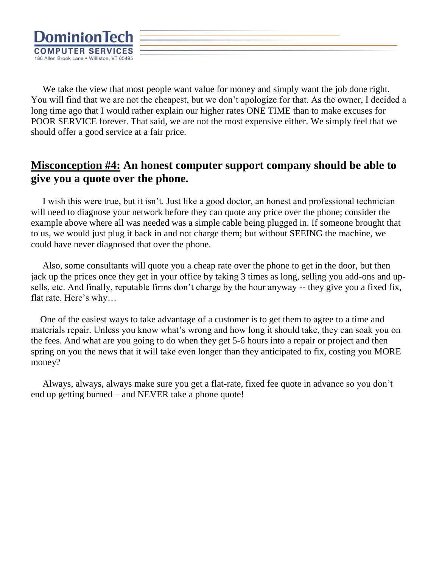

 We take the view that most people want value for money and simply want the job done right. You will find that we are not the cheapest, but we don't apologize for that. As the owner, I decided a long time ago that I would rather explain our higher rates ONE TIME than to make excuses for POOR SERVICE forever. That said, we are not the most expensive either. We simply feel that we should offer a good service at a fair price.

# **Misconception #4: An honest computer support company should be able to give you a quote over the phone.**

 I wish this were true, but it isn't. Just like a good doctor, an honest and professional technician will need to diagnose your network before they can quote any price over the phone; consider the example above where all was needed was a simple cable being plugged in. If someone brought that to us, we would just plug it back in and not charge them; but without SEEING the machine, we could have never diagnosed that over the phone.

 Also, some consultants will quote you a cheap rate over the phone to get in the door, but then jack up the prices once they get in your office by taking 3 times as long, selling you add-ons and upsells, etc. And finally, reputable firms don't charge by the hour anyway -- they give you a fixed fix, flat rate. Here's why…

 One of the easiest ways to take advantage of a customer is to get them to agree to a time and materials repair. Unless you know what's wrong and how long it should take, they can soak you on the fees. And what are you going to do when they get 5-6 hours into a repair or project and then spring on you the news that it will take even longer than they anticipated to fix, costing you MORE money?

 Always, always, always make sure you get a flat-rate, fixed fee quote in advance so you don't end up getting burned – and NEVER take a phone quote!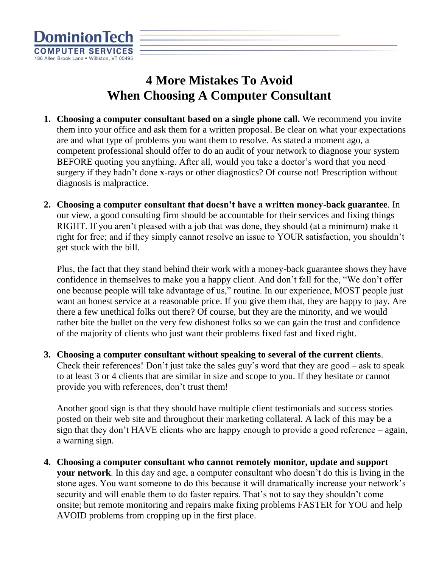

# **4 More Mistakes To Avoid When Choosing A Computer Consultant**

- **1. Choosing a computer consultant based on a single phone call.** We recommend you invite them into your office and ask them for a written proposal. Be clear on what your expectations are and what type of problems you want them to resolve. As stated a moment ago, a competent professional should offer to do an audit of your network to diagnose your system BEFORE quoting you anything. After all, would you take a doctor's word that you need surgery if they hadn't done x-rays or other diagnostics? Of course not! Prescription without diagnosis is malpractice.
- **2. Choosing a computer consultant that doesn't have a written money**-**back guarantee**. In our view, a good consulting firm should be accountable for their services and fixing things RIGHT. If you aren't pleased with a job that was done, they should (at a minimum) make it right for free; and if they simply cannot resolve an issue to YOUR satisfaction, you shouldn't get stuck with the bill.

Plus, the fact that they stand behind their work with a money-back guarantee shows they have confidence in themselves to make you a happy client. And don't fall for the, "We don't offer one because people will take advantage of us," routine. In our experience, MOST people just want an honest service at a reasonable price. If you give them that, they are happy to pay. Are there a few unethical folks out there? Of course, but they are the minority, and we would rather bite the bullet on the very few dishonest folks so we can gain the trust and confidence of the majority of clients who just want their problems fixed fast and fixed right.

**3. Choosing a computer consultant without speaking to several of the current clients**. Check their references! Don't just take the sales guy's word that they are good – ask to speak to at least 3 or 4 clients that are similar in size and scope to you. If they hesitate or cannot provide you with references, don't trust them!

Another good sign is that they should have multiple client testimonials and success stories posted on their web site and throughout their marketing collateral. A lack of this may be a sign that they don't HAVE clients who are happy enough to provide a good reference – again, a warning sign.

**4. Choosing a computer consultant who cannot remotely monitor, update and support your network**. In this day and age, a computer consultant who doesn't do this is living in the stone ages. You want someone to do this because it will dramatically increase your network's security and will enable them to do faster repairs. That's not to say they shouldn't come onsite; but remote monitoring and repairs make fixing problems FASTER for YOU and help AVOID problems from cropping up in the first place.